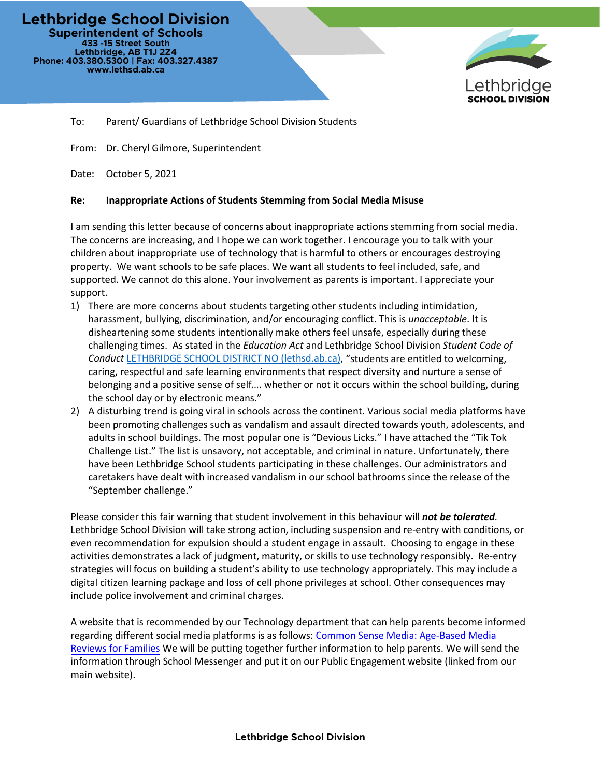**Lethbridge School Division Superintendent of Schools 433 -15 Street South Lethbridge, AB T1J 2Z4 Phone: 403.380.5300 | Fax: 403.327.4387 www.lethsd.ab.ca**



To: Parent/ Guardians of Lethbridge School Division Students

From: Dr. Cheryl Gilmore, Superintendent

Date: October 5, 2021

## **Re: Inappropriate Actions of Students Stemming from Social Media Misuse**

I am sending this letter because of concerns about inappropriate actions stemming from social media. The concerns are increasing, and I hope we can work together. I encourage you to talk with your children about inappropriate use of technology that is harmful to others or encourages destroying property. We want schools to be safe places. We want all students to feel included, safe, and supported. We cannot do this alone. Your involvement as parents is important. I appreciate your support.

- 1) There are more concerns about students targeting other students including intimidation, harassment, bullying, discrimination, and/or encouraging conflict. This is *unacceptable*. It is disheartening some students intentionally make others feel unsafe, especially during these challenging times. As stated in the *Education Act* and Lethbridge School Division *Student Code of Conduct* [LETHBRIDGE SCHOOL DISTRICT NO \(lethsd.ab.ca\),](https://www.lethsd.ab.ca/download/187425) "students are entitled to welcoming, caring, respectful and safe learning environments that respect diversity and nurture a sense of belonging and a positive sense of self…. whether or not it occurs within the school building, during the school day or by electronic means."
- 2) A disturbing trend is going viral in schools across the continent. Various social media platforms have been promoting challenges such as vandalism and assault directed towards youth, adolescents, and adults in school buildings. The most popular one is "Devious Licks." I have attached the "Tik Tok Challenge List." The list is unsavory, not acceptable, and criminal in nature. Unfortunately, there have been Lethbridge School students participating in these challenges. Our administrators and caretakers have dealt with increased vandalism in our school bathrooms since the release of the "September challenge."

Please consider this fair warning that student involvement in this behaviour will *not be tolerated.* Lethbridge School Division will take strong action, including suspension and re-entry with conditions, or even recommendation for expulsion should a student engage in assault. Choosing to engage in these activities demonstrates a lack of judgment, maturity, or skills to use technology responsibly. Re-entry strategies will focus on building a student's ability to use technology appropriately. This may include a digital citizen learning package and loss of cell phone privileges at school. Other consequences may include police involvement and criminal charges.

A website that is recommended by our Technology department that can help parents become informed regarding different social media platforms is as follows: Common Sense [Media: Age-Based Media](https://www.commonsensemedia.org/)  [Reviews for Families](https://www.commonsensemedia.org/) We will be putting together further information to help parents. We will send the information through School Messenger and put it on our Public Engagement website (linked from our main website).